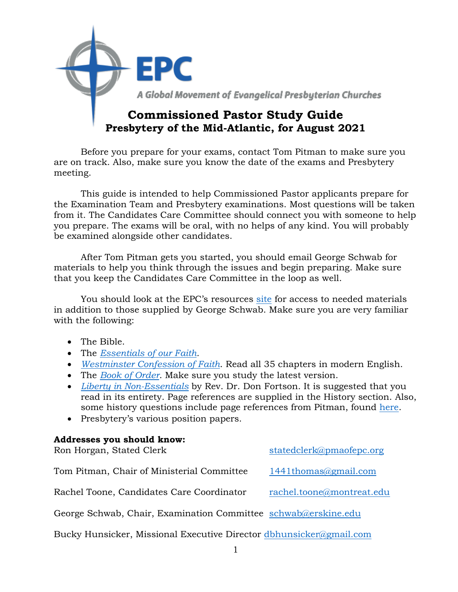

Before you prepare for your exams, contact Tom Pitman to make sure you are on track. Also, make sure you know the date of the exams and Presbytery meeting.

This guide is intended to help Commissioned Pastor applicants prepare for the Examination Team and Presbytery examinations. Most questions will be taken from it. The Candidates Care Committee should connect you with someone to help you prepare. The exams will be oral, with no helps of any kind. You will probably be examined alongside other candidates.

After Tom Pitman gets you started, you should email George Schwab for materials to help you think through the issues and begin preparing. Make sure that you keep the Candidates Care Committee in the loop as well.

You should look at the EPC's resources [site](https://epc.org/downloads/) for access to needed materials in addition to those supplied by George Schwab. Make sure you are very familiar with the following:

- The Bible.
- The *[Essentials of our Faith.](http://epcoga.wpengine.com/wp-content/uploads/Files/1-Who-We-Are/B-About-The-EPC/TheEssentials.pdf)*
- *[Westminster Confession of Faith](http://epcoga.wpengine.com/wp-content/uploads/Files/1-Who-We-Are/B-About-The-EPC/WCF-ModernEnglish.pdf)*. Read all 35 chapters in modern English.
- The *[Book of Order](https://epc.org/wp-content/uploads/Files/4-Resources/5-Downloadable-EPC-Resources/A-Constitution-Doctrine/BookOfOrder2020-2021.pdf)*. Make sure you study the latest version.
- *[Liberty in Non-Essentials](https://epcresources.org/collections/books-and-booklets/products/liberty-in-non-essentials-the-story-of-the-evangelical-presbyterian-church)* by Rev. Dr. Don Fortson. It is suggested that you read in its entirety. Page references are supplied in the History section. Also, some history questions include page references from Pitman, found [here.](https://www.amazon.com/Reformed-Power-Tom-Pitman-ebook/dp/B00FDJOIFG/ref=sr_1_2?ie=UTF8&qid=1518905721&sr=8-2&keywords=tom+pitman)
- Presbytery's various position papers.

#### **Addresses you should know:**

| Ron Horgan, Stated Clerk                                       | statedclerk@pmaofepc.org  |
|----------------------------------------------------------------|---------------------------|
| Tom Pitman, Chair of Ministerial Committee                     | 1441thomas@gmail.com      |
| Rachel Toone, Candidates Care Coordinator                      | rachel.toone@montreat.edu |
| George Schwab, Chair, Examination Committee schwab@erskine.edu |                           |

Bucky Hunsicker, Missional Executive Director [dbhunsicker@gmail.com](mailto:dbhunsicker@gmail.com)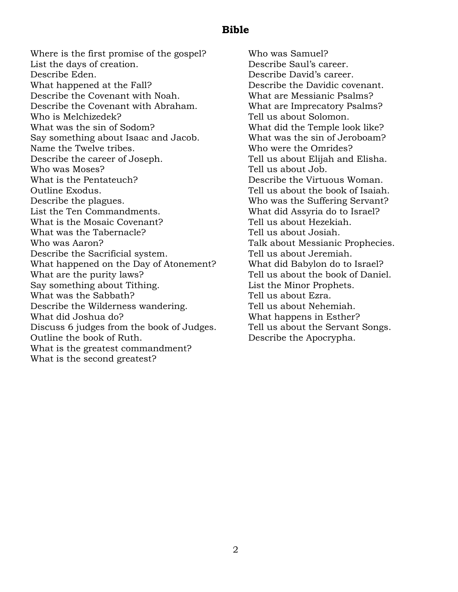#### **Bible**

Where is the first promise of the gospel? List the days of creation. Describe Eden. What happened at the Fall? Describe the Covenant with Noah. Describe the Covenant with Abraham. Who is Melchizedek? What was the sin of Sodom? Say something about Isaac and Jacob. Name the Twelve tribes. Describe the career of Joseph. Who was Moses? What is the Pentateuch? Outline Exodus. Describe the plagues. List the Ten Commandments. What is the Mosaic Covenant? What was the Tabernacle? Who was Aaron? Describe the Sacrificial system. What happened on the Day of Atonement? What are the purity laws? Say something about Tithing. What was the Sabbath? Describe the Wilderness wandering. What did Joshua do? Discuss 6 judges from the book of Judges. Outline the book of Ruth. What is the greatest commandment? What is the second greatest?

Who was Samuel? Describe Saul's career. Describe David's career. Describe the Davidic covenant. What are Messianic Psalms? What are Imprecatory Psalms? Tell us about Solomon. What did the Temple look like? What was the sin of Jeroboam? Who were the Omrides? Tell us about Elijah and Elisha. Tell us about Job. Describe the Virtuous Woman. Tell us about the book of Isaiah. Who was the Suffering Servant? What did Assyria do to Israel? Tell us about Hezekiah. Tell us about Josiah. Talk about Messianic Prophecies. Tell us about Jeremiah. What did Babylon do to Israel? Tell us about the book of Daniel. List the Minor Prophets. Tell us about Ezra. Tell us about Nehemiah. What happens in Esther? Tell us about the Servant Songs. Describe the Apocrypha.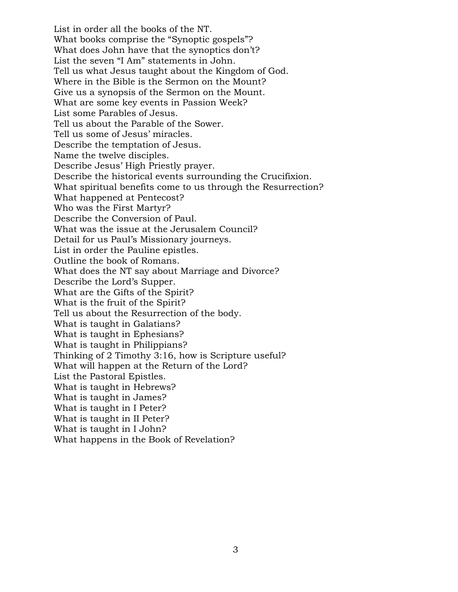List in order all the books of the NT. What books comprise the "Synoptic gospels"? What does John have that the synoptics don't? List the seven "I Am" statements in John. Tell us what Jesus taught about the Kingdom of God. Where in the Bible is the Sermon on the Mount? Give us a synopsis of the Sermon on the Mount. What are some key events in Passion Week? List some Parables of Jesus. Tell us about the Parable of the Sower. Tell us some of Jesus' miracles. Describe the temptation of Jesus. Name the twelve disciples. Describe Jesus' High Priestly prayer. Describe the historical events surrounding the Crucifixion. What spiritual benefits come to us through the Resurrection? What happened at Pentecost? Who was the First Martyr? Describe the Conversion of Paul. What was the issue at the Jerusalem Council? Detail for us Paul's Missionary journeys. List in order the Pauline epistles. Outline the book of Romans. What does the NT say about Marriage and Divorce? Describe the Lord's Supper. What are the Gifts of the Spirit? What is the fruit of the Spirit? Tell us about the Resurrection of the body. What is taught in Galatians? What is taught in Ephesians? What is taught in Philippians? Thinking of 2 Timothy 3:16, how is Scripture useful? What will happen at the Return of the Lord? List the Pastoral Epistles. What is taught in Hebrews? What is taught in James? What is taught in I Peter? What is taught in II Peter? What is taught in I John? What happens in the Book of Revelation?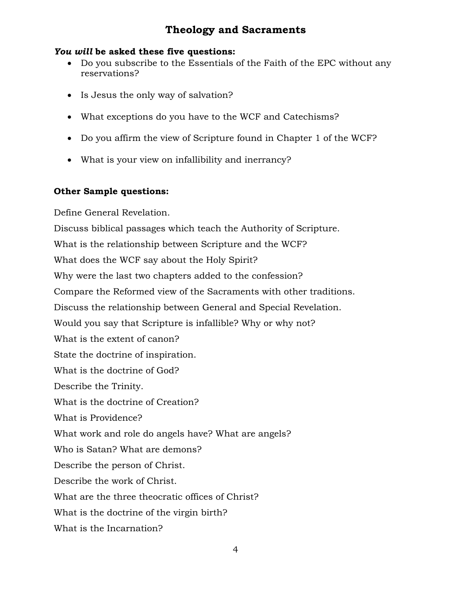# **Theology and Sacraments**

#### *You will* **be asked these five questions:**

- Do you subscribe to the Essentials of the Faith of the EPC without any reservations?
- Is Jesus the only way of salvation?
- What exceptions do you have to the WCF and Catechisms?
- Do you affirm the view of Scripture found in Chapter 1 of the WCF?
- What is your view on infallibility and inerrancy?

#### **Other Sample questions:**

Define General Revelation. Discuss biblical passages which teach the Authority of Scripture. What is the relationship between Scripture and the WCF? What does the WCF say about the Holy Spirit? Why were the last two chapters added to the confession? Compare the Reformed view of the Sacraments with other traditions. Discuss the relationship between General and Special Revelation. Would you say that Scripture is infallible? Why or why not? What is the extent of canon? State the doctrine of inspiration. What is the doctrine of God? Describe the Trinity. What is the doctrine of Creation? What is Providence? What work and role do angels have? What are angels? Who is Satan? What are demons? Describe the person of Christ. Describe the work of Christ. What are the three theocratic offices of Christ? What is the doctrine of the virgin birth? What is the Incarnation?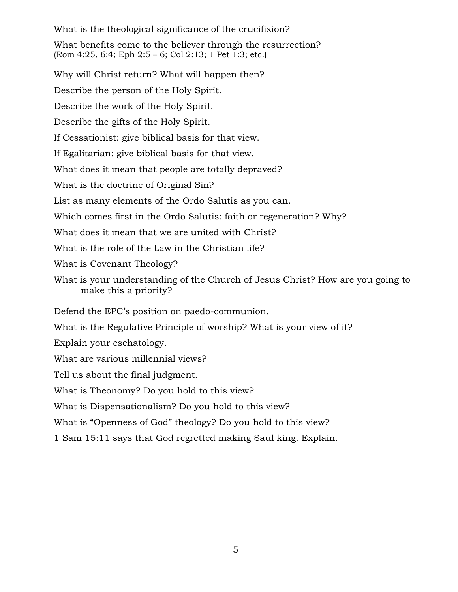What is the theological significance of the crucifixion?

What benefits come to the believer through the resurrection? (Rom 4:25, 6:4; Eph 2:5 – 6; Col 2:13; 1 Pet 1:3; etc.)

Why will Christ return? What will happen then? Describe the person of the Holy Spirit. Describe the work of the Holy Spirit. Describe the gifts of the Holy Spirit. If Cessationist: give biblical basis for that view. If Egalitarian: give biblical basis for that view. What does it mean that people are totally depraved? What is the doctrine of Original Sin? List as many elements of the Ordo Salutis as you can. Which comes first in the Ordo Salutis: faith or regeneration? Why? What does it mean that we are united with Christ? What is the role of the Law in the Christian life? What is Covenant Theology? What is your understanding of the Church of Jesus Christ? How are you going to make this a priority? Defend the EPC's position on paedo-communion. What is the Regulative Principle of worship? What is your view of it? Explain your eschatology. What are various millennial views? Tell us about the final judgment. What is Theonomy? Do you hold to this view? What is Dispensationalism? Do you hold to this view? What is "Openness of God" theology? Do you hold to this view?

1 Sam 15:11 says that God regretted making Saul king. Explain.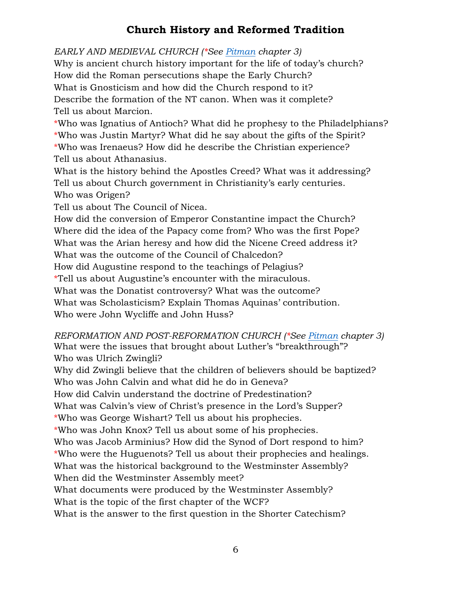# **Church History and Reformed Tradition**

*EARLY AND MEDIEVAL CHURCH (\*See [Pitman](https://www.amazon.com/Reformed-Power-Tom-Pitman-ebook/dp/B00FDJOIFG/ref=sr_1_2?ie=UTF8&qid=1518905721&sr=8-2&keywords=tom+pitman) chapter 3)*

Why is ancient church history important for the life of today's church? How did the Roman persecutions shape the Early Church? What is Gnosticism and how did the Church respond to it? Describe the formation of the NT canon. When was it complete? Tell us about Marcion.

\*Who was Ignatius of Antioch? What did he prophesy to the Philadelphians? \*Who was Justin Martyr? What did he say about the gifts of the Spirit? \*Who was Irenaeus? How did he describe the Christian experience? Tell us about Athanasius.

What is the history behind the Apostles Creed? What was it addressing? Tell us about Church government in Christianity's early centuries. Who was Origen?

Tell us about The Council of Nicea.

How did the conversion of Emperor Constantine impact the Church? Where did the idea of the Papacy come from? Who was the first Pope? What was the Arian heresy and how did the Nicene Creed address it? What was the outcome of the Council of Chalcedon? How did Augustine respond to the teachings of Pelagius? \*Tell us about Augustine's encounter with the miraculous. What was the Donatist controversy? What was the outcome? What was Scholasticism? Explain Thomas Aquinas' contribution. Who were John Wycliffe and John Huss?

*REFORMATION AND POST-REFORMATION CHURCH (\*See [Pitman](https://www.amazon.com/Reformed-Power-Tom-Pitman-ebook/dp/B00FDJOIFG/ref=sr_1_2?ie=UTF8&qid=1518905721&sr=8-2&keywords=tom+pitman) chapter 3)* What were the issues that brought about Luther's "breakthrough"? Who was Ulrich Zwingli?

Why did Zwingli believe that the children of believers should be baptized? Who was John Calvin and what did he do in Geneva?

How did Calvin understand the doctrine of Predestination?

What was Calvin's view of Christ's presence in the Lord's Supper?

\*Who was George Wishart? Tell us about his prophecies.

\*Who was John Knox? Tell us about some of his prophecies.

Who was Jacob Arminius? How did the Synod of Dort respond to him?

\*Who were the Huguenots? Tell us about their prophecies and healings.

What was the historical background to the Westminster Assembly?

When did the Westminster Assembly meet?

What documents were produced by the Westminster Assembly?

What is the topic of the first chapter of the WCF?

What is the answer to the first question in the Shorter Catechism?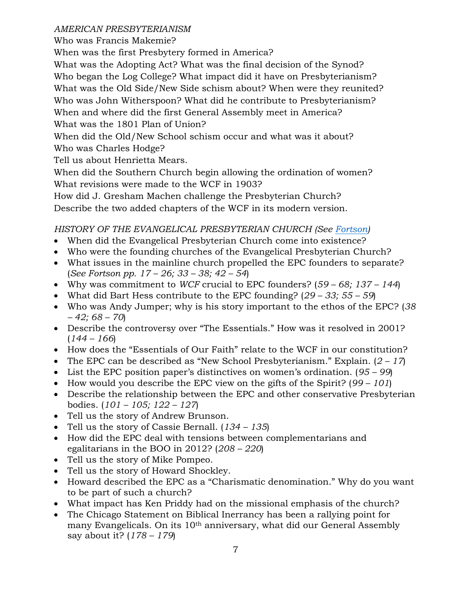#### *AMERICAN PRESBYTERIANISM*

Who was Francis Makemie?

When was the first Presbytery formed in America?

What was the Adopting Act? What was the final decision of the Synod? Who began the Log College? What impact did it have on Presbyterianism? What was the Old Side/New Side schism about? When were they reunited? Who was John Witherspoon? What did he contribute to Presbyterianism? When and where did the first General Assembly meet in America? What was the 1801 Plan of Union?

When did the Old/New School schism occur and what was it about? Who was Charles Hodge?

Tell us about Henrietta Mears.

When did the Southern Church begin allowing the ordination of women? What revisions were made to the WCF in 1903?

How did J. Gresham Machen challenge the Presbyterian Church?

Describe the two added chapters of the WCF in its modern version.

### *HISTORY OF THE EVANGELICAL PRESBYTERIAN CHURCH (See [Fortson\)](https://epcresources.org/collections/books-and-booklets/products/liberty-in-non-essentials-the-story-of-the-evangelical-presbyterian-church)*

- When did the Evangelical Presbyterian Church come into existence?
- Who were the founding churches of the Evangelical Presbyterian Church?
- What issues in the mainline church propelled the EPC founders to separate? (*See Fortson pp. 17 – 26; 33 – 38; 42 – 54*)
- Why was commitment to *WCF* crucial to EPC founders? (*59 – 68; 137 – 144*)
- What did Bart Hess contribute to the EPC founding? (*29 – 33; 55 – 59*)
- Who was Andy Jumper; why is his story important to the ethos of the EPC? (*38 – 42; 68 – 70*)
- Describe the controversy over "The Essentials." How was it resolved in 2001? (*144 – 166*)
- How does the "Essentials of Our Faith" relate to the WCF in our constitution?
- The EPC can be described as "New School Presbyterianism." Explain. (*2 – 17*)
- List the EPC position paper's distinctives on women's ordination. (*95 – 99*)
- How would you describe the EPC view on the gifts of the Spirit? (*99 – 101*)
- Describe the relationship between the EPC and other conservative Presbyterian bodies. (*101 – 105; 122 – 127*)
- Tell us the story of Andrew Brunson.
- Tell us the story of Cassie Bernall. (*134 – 135*)
- How did the EPC deal with tensions between complementarians and egalitarians in the BOO in 2012? (*208 – 220*)
- Tell us the story of Mike Pompeo.
- Tell us the story of Howard Shockley.
- Howard described the EPC as a "Charismatic denomination." Why do you want to be part of such a church?
- What impact has Ken Priddy had on the missional emphasis of the church?
- The Chicago Statement on Biblical Inerrancy has been a rallying point for many Evangelicals. On its 10th anniversary, what did our General Assembly say about it? (*178 – 179*)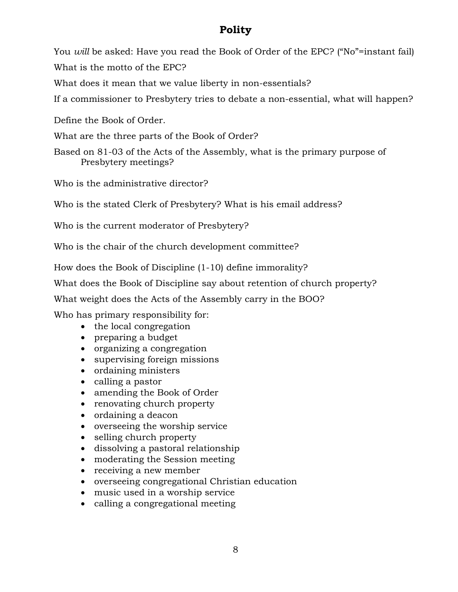## **Polity**

You *will* be asked: Have you read the Book of Order of the EPC? ("No"=instant fail) What is the motto of the EPC?

What does it mean that we value liberty in non-essentials?

If a commissioner to Presbytery tries to debate a non-essential, what will happen?

Define the Book of Order.

What are the three parts of the Book of Order?

Based on 81-03 of the Acts of the Assembly, what is the primary purpose of Presbytery meetings?

Who is the administrative director?

Who is the stated Clerk of Presbytery? What is his email address?

Who is the current moderator of Presbytery?

Who is the chair of the church development committee?

How does the Book of Discipline (1-10) define immorality?

What does the Book of Discipline say about retention of church property?

What weight does the Acts of the Assembly carry in the BOO?

Who has primary responsibility for:

- the local congregation
- preparing a budget
- organizing a congregation
- supervising foreign missions
- ordaining ministers
- calling a pastor
- amending the Book of Order
- renovating church property
- ordaining a deacon
- overseeing the worship service
- selling church property
- dissolving a pastoral relationship
- moderating the Session meeting
- receiving a new member
- overseeing congregational Christian education
- music used in a worship service
- calling a congregational meeting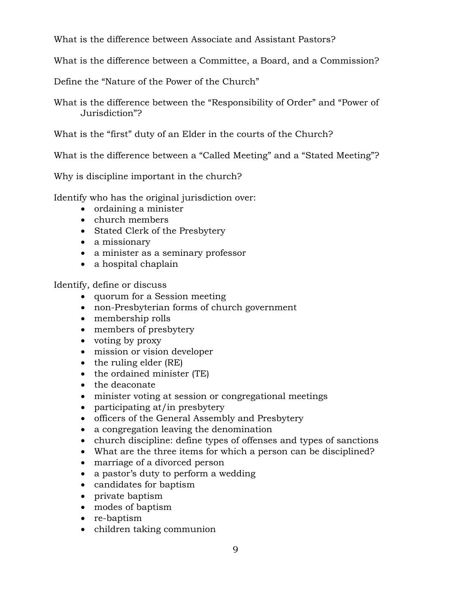What is the difference between Associate and Assistant Pastors?

What is the difference between a Committee, a Board, and a Commission?

Define the "Nature of the Power of the Church"

What is the difference between the "Responsibility of Order" and "Power of Jurisdiction"?

What is the "first" duty of an Elder in the courts of the Church?

What is the difference between a "Called Meeting" and a "Stated Meeting"?

Why is discipline important in the church?

Identify who has the original jurisdiction over:

- ordaining a minister
- church members
- Stated Clerk of the Presbytery
- a missionary
- a minister as a seminary professor
- a hospital chaplain

Identify, define or discuss

- quorum for a Session meeting
- non-Presbyterian forms of church government
- membership rolls
- members of presbytery
- voting by proxy
- mission or vision developer
- the ruling elder (RE)
- the ordained minister (TE)
- the deaconate
- minister voting at session or congregational meetings
- participating at/in presbytery
- officers of the General Assembly and Presbytery
- a congregation leaving the denomination
- church discipline: define types of offenses and types of sanctions
- What are the three items for which a person can be disciplined?
- marriage of a divorced person
- a pastor's duty to perform a wedding
- candidates for baptism
- private baptism
- modes of baptism
- re-baptism
- children taking communion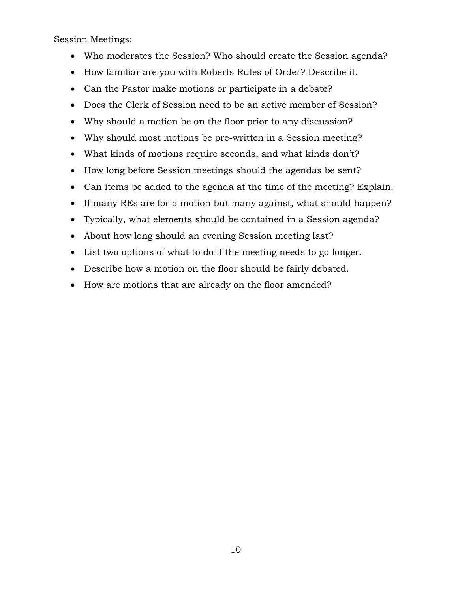Session Meetings:

- Who moderates the Session? Who should create the Session agenda?
- How familiar are you with Roberts Rules of Order? Describe it.
- Can the Pastor make motions or participate in a debate?
- Does the Clerk of Session need to be an active member of Session?
- Why should a motion be on the floor prior to any discussion?
- Why should most motions be pre-written in a Session meeting?
- What kinds of motions require seconds, and what kinds don't?
- How long before Session meetings should the agendas be sent?
- Can items be added to the agenda at the time of the meeting? Explain.
- If many REs are for a motion but many against, what should happen?
- Typically, what elements should be contained in a Session agenda?
- About how long should an evening Session meeting last?
- List two options of what to do if the meeting needs to go longer.
- Describe how a motion on the floor should be fairly debated.
- How are motions that are already on the floor amended?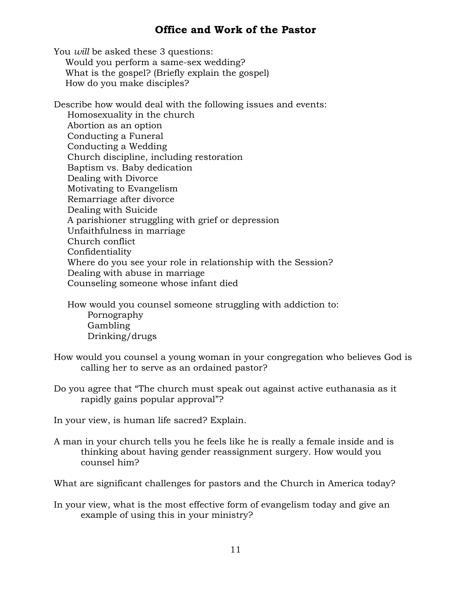## **Office and Work of the Pastor**

You *will* be asked these 3 questions: Would you perform a same-sex wedding? What is the gospel? (Briefly explain the gospel) How do you make disciples?

Describe how would deal with the following issues and events: Homosexuality in the church Abortion as an option Conducting a Funeral Conducting a Wedding Church discipline, including restoration Baptism vs. Baby dedication Dealing with Divorce Motivating to Evangelism Remarriage after divorce Dealing with Suicide A parishioner struggling with grief or depression Unfaithfulness in marriage Church conflict Confidentiality Where do you see your role in relationship with the Session? Dealing with abuse in marriage Counseling someone whose infant died

How would you counsel someone struggling with addiction to: Pornography Gambling Drinking/drugs

- How would you counsel a young woman in your congregation who believes God is calling her to serve as an ordained pastor?
- Do you agree that "The church must speak out against active euthanasia as it rapidly gains popular approval"?

In your view, is human life sacred? Explain.

A man in your church tells you he feels like he is really a female inside and is thinking about having gender reassignment surgery. How would you counsel him?

What are significant challenges for pastors and the Church in America today?

In your view, what is the most effective form of evangelism today and give an example of using this in your ministry?